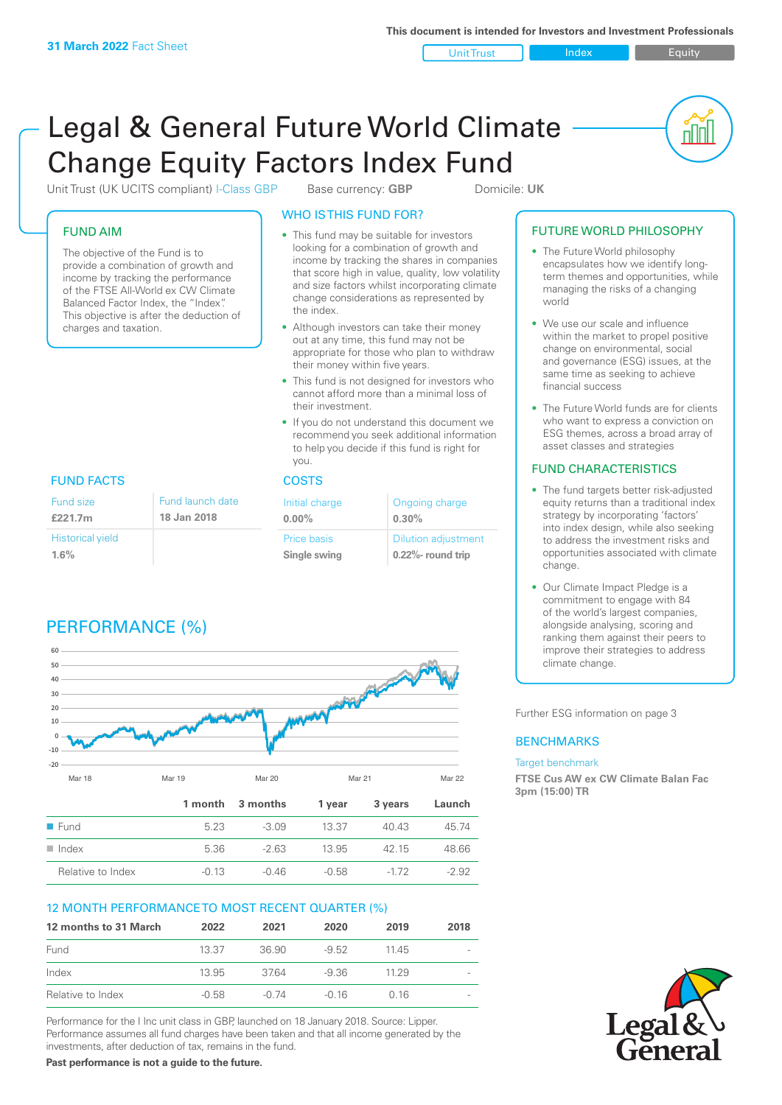Unit Trust Index **Index** Equity

nnl

# Legal & General Future World Climate Change Equity Factors Index Fund

Unit Trust (UK UCITS compliant) I-Class GBP Base currency: **GBP** Domicile: UK

### FUND AIM

The objective of the Fund is to provide a combination of growth and income by tracking the performance of the FTSE All-World ex CW Climate Balanced Factor Index, the "Index". This objective is after the deduction of charges and taxation.

### WHO IS THIS FUND FOR?

- This fund may be suitable for investors looking for a combination of growth and income by tracking the shares in companies that score high in value, quality, low volatility and size factors whilst incorporating climate change considerations as represented by the index.
- Although investors can take their money out at any time, this fund may not be appropriate for those who plan to withdraw their money within five years.
- This fund is not designed for investors who cannot afford more than a minimal loss of their investment.
- If you do not understand this document we recommend you seek additional information to help you decide if this fund is right for you.

| Initial charge<br>$0.00\%$  | Ongoing charge<br>0.30%                             |  |
|-----------------------------|-----------------------------------------------------|--|
| Price basis<br>Single swing | <b>Dilution adjustment</b><br>$0.22\%$ - round trip |  |

### FUND FACTS COSTS

| Fund size               | Fund launch date |
|-------------------------|------------------|
| £221.7m                 | 18 Jan 2018      |
| <b>Historical yield</b> |                  |
| 1.6%                    |                  |

## PERFORMANCE (%)



### 12 MONTH PERFORMANCE TO MOST RECENT QUARTER (%)

| 12 months to 31 March | 2022    | 2021    | 2020    | 2019  | 2018 |
|-----------------------|---------|---------|---------|-------|------|
| Fund                  | 13.37   | 36.90   | $-9.52$ | 11 45 |      |
| Index                 | 13.95   | 3764    | -9.36   | 11 29 |      |
| Relative to Index     | $-0.58$ | $-0.74$ | -0.16   | 0.16  |      |

Performance for the I Inc unit class in GBP, launched on 18 January 2018. Source: Lipper. Performance assumes all fund charges have been taken and that all income generated by the investments, after deduction of tax, remains in the fund.

**Past performance is not a guide to the future.**

### FUTURE WORLD PHILOSOPHY

- The Future World philosophy encapsulates how we identify longterm themes and opportunities, while managing the risks of a changing world
- We use our scale and influence within the market to propel positive change on environmental, social and governance (ESG) issues, at the same time as seeking to achieve financial success
- The Future World funds are for clients who want to express a conviction on ESG themes, across a broad array of asset classes and strategies

### FUND CHARACTERISTICS

- The fund targets better risk-adjusted equity returns than a traditional index strategy by incorporating 'factors' into index design, while also seeking to address the investment risks and opportunities associated with climate change.
- Our Climate Impact Pledge is a commitment to engage with 84 of the world's largest companies, alongside analysing, scoring and ranking them against their peers to improve their strategies to address climate change.

Further ESG information on page 3

### **BENCHMARKS**

#### Target benchmark

**FTSE Cus AW ex CW Climate Balan Fac 3pm (15:00) TR**

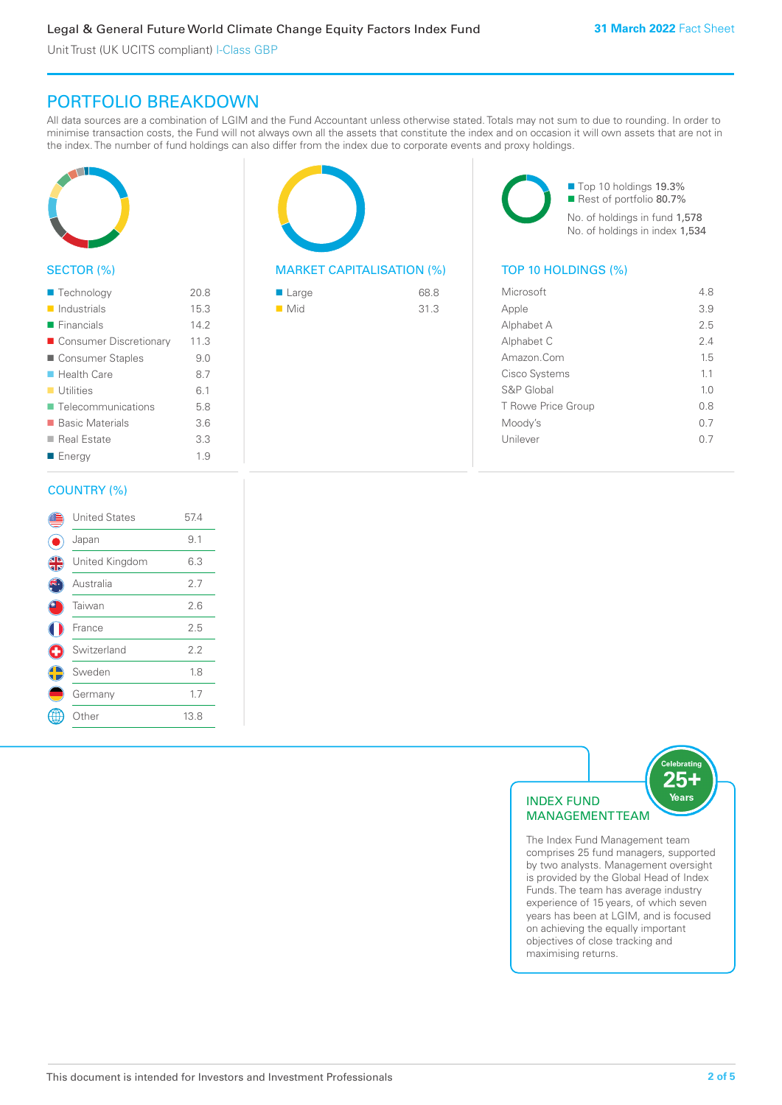### PORTFOLIO BREAKDOWN

All data sources are a combination of LGIM and the Fund Accountant unless otherwise stated. Totals may not sum to due to rounding. In order to minimise transaction costs, the Fund will not always own all the assets that constitute the index and on occasion it will own assets that are not in the index. The number of fund holdings can also differ from the index due to corporate events and proxy holdings.



### SECTOR (%)

| ■ Technology               | 20.8 |
|----------------------------|------|
| $\blacksquare$ Industrials | 15.3 |
| $\blacksquare$ Financials  | 142  |
| ■ Consumer Discretionary   | 11.3 |
| ■ Consumer Staples         | 9.0  |
| ■ Health Care              | 8.7  |
| $\blacksquare$ Utilities   | 6.1  |
| ■ Telecommunications       | 5.8  |
| ■ Basic Materials          | 3.6  |
| ■ Real Estate              | 3.3  |
| ■ Energy                   | 1.9  |
|                            |      |

### COUNTRY (%)

|   | <b>United States</b> | 57.4 |  |
|---|----------------------|------|--|
|   | Japan                | 9.1  |  |
| 4 | United Kingdom       | 6.3  |  |
|   | Australia            | 2.7  |  |
|   | Taiwan               | 2.6  |  |
|   | France               | 2.5  |  |
| ÷ | Switzerland          | 2.2  |  |
|   | Sweden               | 1.8  |  |
|   | Germany              | 1.7  |  |
|   | Other                | 13.8 |  |
|   |                      |      |  |

### MARKET CAPITALISATION (%) TOP 10 HOLDINGS (%)

| $\blacksquare$ Large | 68.8 |
|----------------------|------|
| $\blacksquare$ Mid   | 31.3 |

■ Top 10 holdings 19.3% ■ Rest of portfolio 80.7% No. of holdings in fund 1,578 No. of holdings in index 1,534

| Microsoft          | 48             |
|--------------------|----------------|
| Apple              | 3.9            |
| Alphabet A         | 25             |
| Alphabet C         | 2.4            |
| Amazon.Com         | 1.5            |
| Cisco Systems      | 1.1            |
| S&P Global         | 1 <sub>0</sub> |
| T Rowe Price Group | 0 S            |
| Moody's            | 0 7            |
| Unilever           | (1 /           |
|                    |                |



The Index Fund Management team comprises 25 fund managers, supported by two analysts. Management oversight is provided by the Global Head of Index Funds. The team has average industry experience of 15 years, of which seven years has been at LGIM, and is focused on achieving the equally important objectives of close tracking and maximising returns.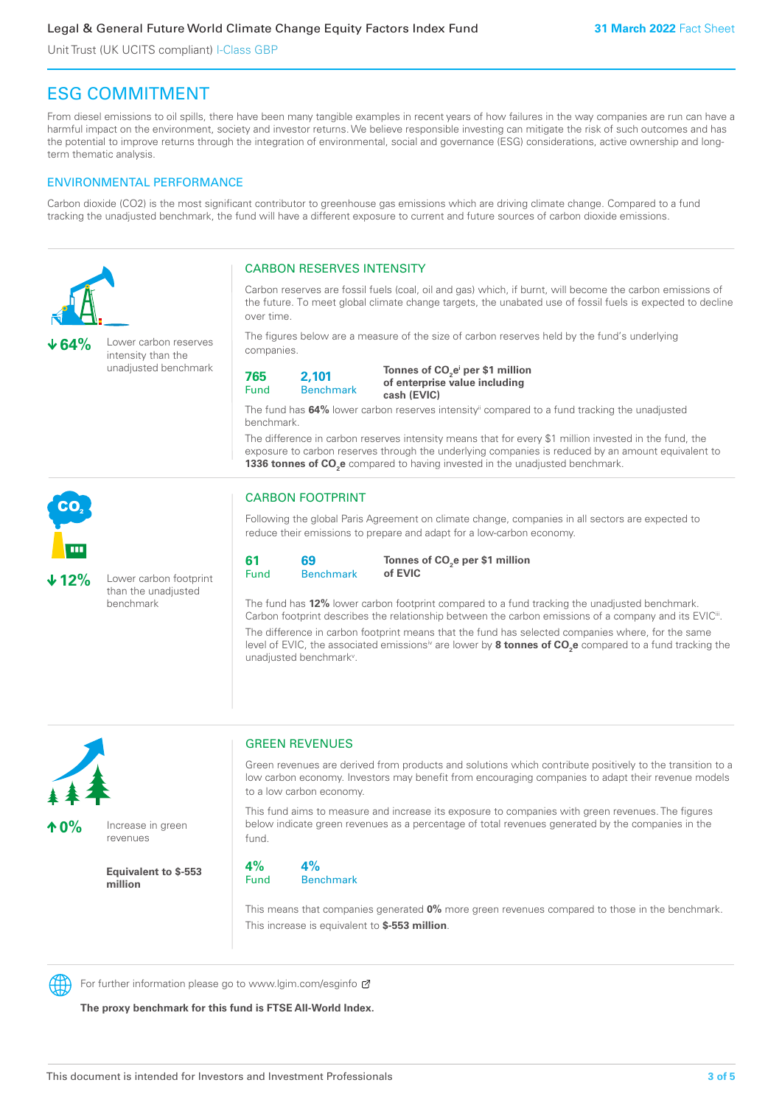### ESG COMMITMENT

From diesel emissions to oil spills, there have been many tangible examples in recent years of how failures in the way companies are run can have a harmful impact on the environment, society and investor returns. We believe responsible investing can mitigate the risk of such outcomes and has the potential to improve returns through the integration of environmental, social and governance (ESG) considerations, active ownership and longterm thematic analysis.

### ENVIRONMENTAL PERFORMANCE

Carbon dioxide (CO2) is the most significant contributor to greenhouse gas emissions which are driving climate change. Compared to a fund tracking the unadjusted benchmark, the fund will have a different exposure to current and future sources of carbon dioxide emissions.





**10%** Increase in green revenues

> **Equivalent to \$-553 million**

### GREEN REVENUES

Green revenues are derived from products and solutions which contribute positively to the transition to a low carbon economy. Investors may benefit from encouraging companies to adapt their revenue models to a low carbon economy.

This fund aims to measure and increase its exposure to companies with green revenues. The figures below indicate green revenues as a percentage of total revenues generated by the companies in the fund.

**4%** Fund **4%** Benchmark

This means that companies generated **0%** more green revenues compared to those in the benchmark. This increase is equivalent to **\$-553 million**.



For further information please go to www.lgim.com/esginfo Ø

**The proxy benchmark for this fund is FTSE All-World Index.**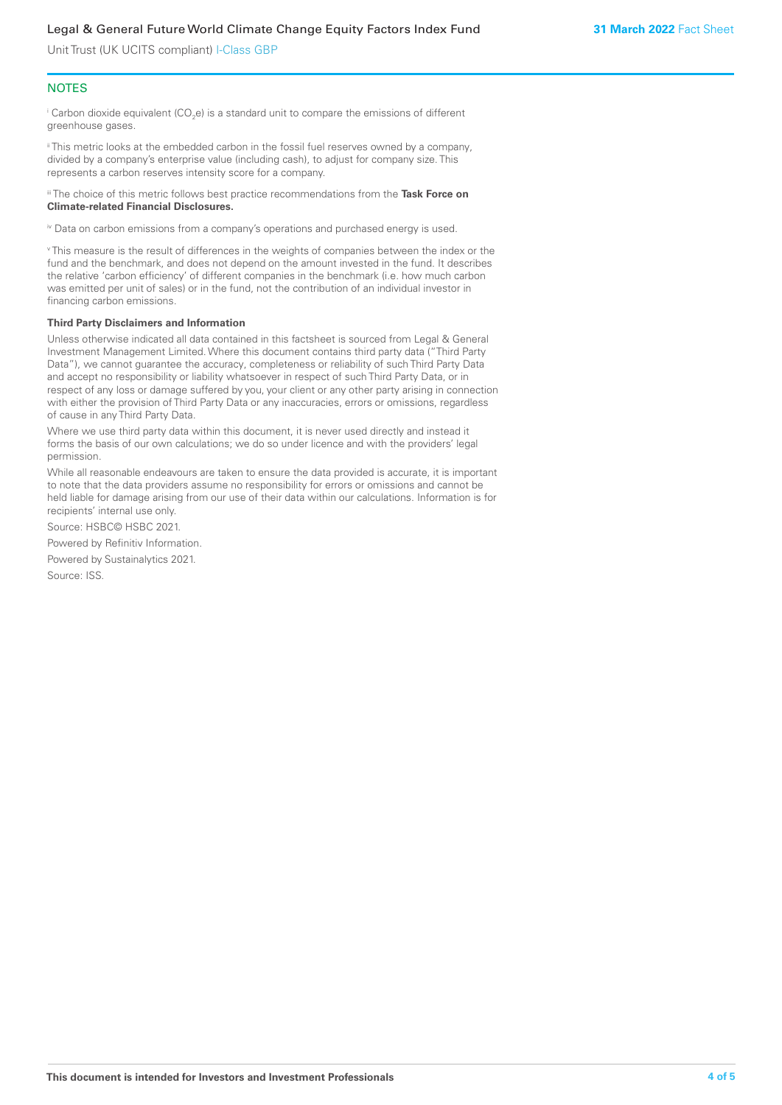### **NOTES**

 $^\mathrm{i}$  Carbon dioxide equivalent (CO<sub>2</sub>e) is a standard unit to compare the emissions of different greenhouse gases.

ii This metric looks at the embedded carbon in the fossil fuel reserves owned by a company, divided by a company's enterprise value (including cash), to adjust for company size. This represents a carbon reserves intensity score for a company.

iii The choice of this metric follows best practice recommendations from the **Task Force on Climate-related Financial Disclosures.**

iv Data on carbon emissions from a company's operations and purchased energy is used.

v This measure is the result of differences in the weights of companies between the index or the fund and the benchmark, and does not depend on the amount invested in the fund. It describes the relative 'carbon efficiency' of different companies in the benchmark (i.e. how much carbon was emitted per unit of sales) or in the fund, not the contribution of an individual investor in financing carbon emissions.

#### **Third Party Disclaimers and Information**

Unless otherwise indicated all data contained in this factsheet is sourced from Legal & General Investment Management Limited. Where this document contains third party data ("Third Party Data"), we cannot guarantee the accuracy, completeness or reliability of such Third Party Data and accept no responsibility or liability whatsoever in respect of such Third Party Data, or in respect of any loss or damage suffered by you, your client or any other party arising in connection with either the provision of Third Party Data or any inaccuracies, errors or omissions, regardless of cause in any Third Party Data.

Where we use third party data within this document, it is never used directly and instead it forms the basis of our own calculations; we do so under licence and with the providers' legal permission.

While all reasonable endeavours are taken to ensure the data provided is accurate, it is important to note that the data providers assume no responsibility for errors or omissions and cannot be held liable for damage arising from our use of their data within our calculations. Information is for recipients' internal use only.

Source: HSBC© HSBC 2021.

Powered by Refinitiv Information.

Powered by Sustainalytics 2021.

Source: ISS.